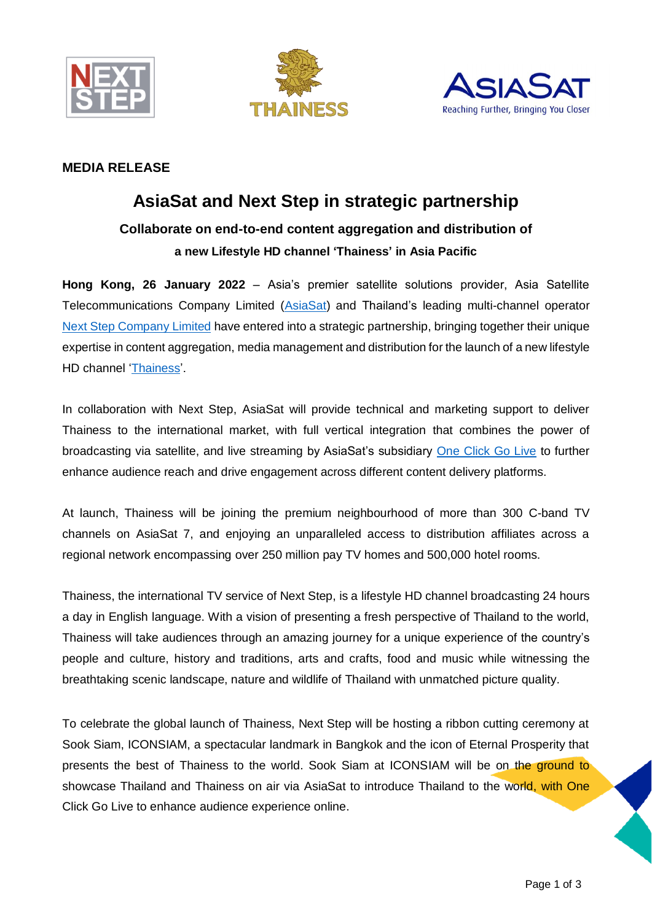





## **MEDIA RELEASE**

# **AsiaSat and Next Step in strategic partnership**

# **Collaborate on end-to-end content aggregation and distribution of a new Lifestyle HD channel 'Thainess' in Asia Pacific**

**Hong Kong, 26 January 2022** – Asia's premier satellite solutions provider, Asia Satellite Telecommunications Company Limited [\(AsiaSat\)](https://www.asiasat.com/) and Thailand's leading multi-channel operator [Next Step Company Limited](http://www.nextstep.tv/) have entered into a strategic partnership, bringing together their unique expertise in content aggregation, media management and distribution for the launch of a new lifestyle HD channel ['Thainess'](http://www.thainesstv.com/profile).

In collaboration with Next Step, AsiaSat will provide technical and marketing support to deliver Thainess to the international market, with full vertical integration that combines the power of broadcasting via satellite, and live streaming by AsiaSat's subsidiary [One Click Go Live](https://www.oneclickgolive.com/) to further enhance audience reach and drive engagement across different content delivery platforms.

At launch, Thainess will be joining the premium neighbourhood of more than 300 C-band TV channels on AsiaSat 7, and enjoying an unparalleled access to distribution affiliates across a regional network encompassing over 250 million pay TV homes and 500,000 hotel rooms.

Thainess, the international TV service of Next Step, is a lifestyle HD channel broadcasting 24 hours a day in English language. With a vision of presenting a fresh perspective of Thailand to the world, Thainess will take audiences through an amazing journey for a unique experience of the country's people and culture, history and traditions, arts and crafts, food and music while witnessing the breathtaking scenic landscape, nature and wildlife of Thailand with unmatched picture quality.

To celebrate the global launch of Thainess, Next Step will be hosting a ribbon cutting ceremony at Sook Siam, ICONSIAM, a spectacular landmark in Bangkok and the icon of Eternal Prosperity that presents the best of Thainess to the world. Sook Siam at ICONSIAM will be on the ground to showcase Thailand and Thainess on air via AsiaSat to introduce Thailand to the world, with One Click Go Live to enhance audience experience online.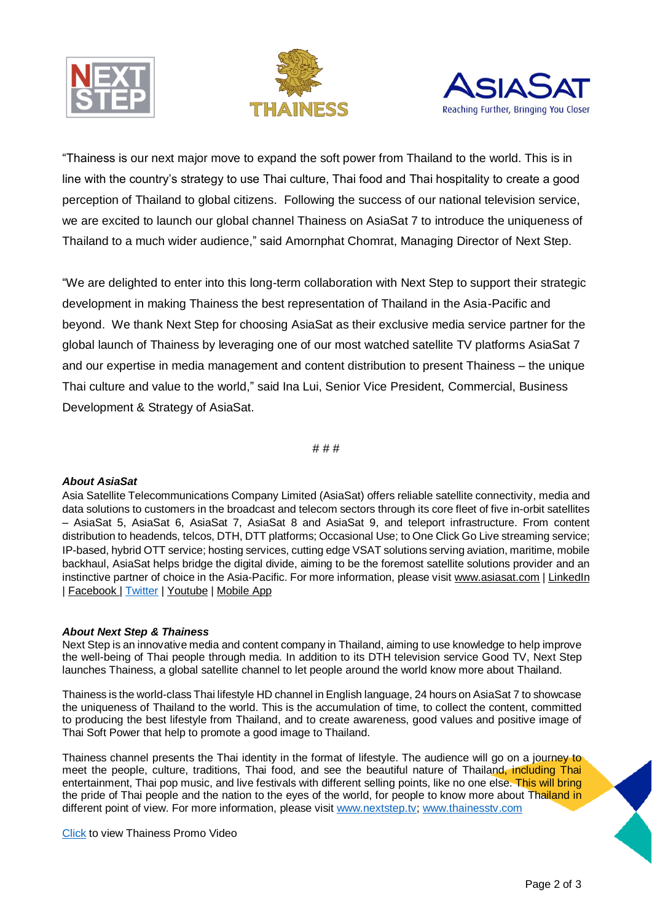





"Thainess is our next major move to expand the soft power from Thailand to the world. This is in line with the country's strategy to use Thai culture, Thai food and Thai hospitality to create a good perception of Thailand to global citizens. Following the success of our national television service, we are excited to launch our global channel Thainess on AsiaSat 7 to introduce the uniqueness of Thailand to a much wider audience," said Amornphat Chomrat, Managing Director of Next Step.

"We are delighted to enter into this long-term collaboration with Next Step to support their strategic development in making Thainess the best representation of Thailand in the Asia-Pacific and beyond. We thank Next Step for choosing AsiaSat as their exclusive media service partner for the global launch of Thainess by leveraging one of our most watched satellite TV platforms AsiaSat 7 and our expertise in media management and content distribution to present Thainess – the unique Thai culture and value to the world," said Ina Lui, Senior Vice President, Commercial, Business Development & Strategy of AsiaSat.

# # #

#### *About AsiaSat*

Asia Satellite Telecommunications Company Limited (AsiaSat) offers reliable satellite connectivity, media and data solutions to customers in the broadcast and telecom sectors through its core fleet of five in-orbit satellites – AsiaSat 5, AsiaSat 6, AsiaSat 7, AsiaSat 8 and AsiaSat 9, and teleport infrastructure. From content distribution to headends, telcos, DTH, DTT platforms; Occasional Use; to One Click Go Live streaming service; IP-based, hybrid OTT service; hosting services, cutting edge VSAT solutions serving aviation, maritime, mobile backhaul, AsiaSat helps bridge the digital divide, aiming to be the foremost satellite solutions provider and an instinctive partner of choice in the Asia-Pacific. For more information, please visit [www.asiasat.com](https://www.asiasat.com/) [| LinkedIn](https://www.linkedin.com/company/asiasat) | [Facebook](https://www.facebook.com/asiasat1988) | [Twitter](https://twitter.com/AsiaSat) [| Youtube](https://www.youtube.com/user/asiasatellite) | [Mobile App](http://www.asiasat.com/modules/contrib/send_push/redirect.html)

### *About Next Step & Thainess*

Next Step is an innovative media and content company in Thailand, aiming to use knowledge to help improve the well-being of Thai people through media. In addition to its DTH television service Good TV, Next Step launches Thainess, a global satellite channel to let people around the world know more about Thailand.

Thainess is the world-class Thai lifestyle HD channel in English language, 24 hours on AsiaSat 7 to showcase the uniqueness of Thailand to the world. This is the accumulation of time, to collect the content, committed to producing the best lifestyle from Thailand, and to create awareness, good values and positive image of Thai Soft Power that help to promote a good image to Thailand.

Thainess channel presents the Thai identity in the format of lifestyle. The audience will go on a journey to meet the people, culture, traditions, Thai food, and see the beautiful nature of Thailand, including Thai entertainment, Thai pop music, and live festivals with different selling points, like no one else. This will bring the pride of Thai people and the nation to the eyes of the world, for people to know more about Thailand in different point of view. For more information, please visit [www.nextstep.tv;](http://www.nextstep.tv/) [www.thainesstv.com](http://www.thainesstv.com/profile)

[Click](https://youtu.be/CfOk7CXLhbA) to view Thainess Promo Video